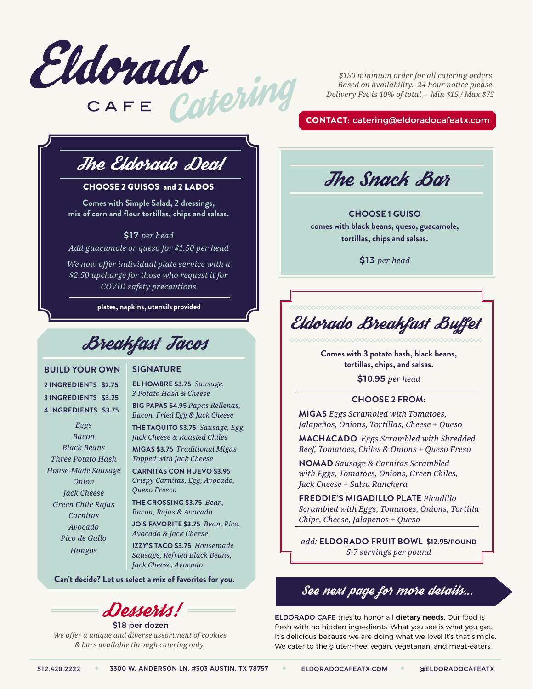

*\$150 minimum order for all catering orders. Based on availability. 24 hour notice please. Delivery Fee is 10% of total – Min \$15 / Max \$75*

CONTACT: catering@eldoradocafeatx.com

# The Eldorado Deal

#### CHOOSE 2 GUISOS and 2 LADOS

**Comes with Simple Salad, 2 dressings, mix of corn and flour tortillas, chips and salsas.**

\$17 *per head Add guacamole or queso for \$1.50 per head*

*We now offer individual plate service with a \$2.50 upcharge for those who request it for COVID safety precautions*

**plates, napkins, utensils provided**

Breakfast Tacos

#### **BUILD YOUR OWN**

**2 INGREDIENTS \$2.75 3 INGREDIENTS \$3.25 4 INGREDIENTS \$3.75**

*Eggs Bacon Black Beans Three Potato Hash House-Made Sausage Onion Jack Cheese Green Chile Rajas Carnitas Avocado Pico de Gallo Hongos*

#### **SIGNATURE**

**EL HOMBRE \$3.75** *Sausage, 3 Potato Hash & Cheese*

**BIG PAPAS \$4.95** *Papas Rellenas, Bacon, Fried Egg & Jack Cheese* **THE TAQUITO \$3.75** *Sausage, Egg,* 

*Jack Cheese & Roasted Chiles*

**MIGAS \$3.75** *Traditional Migas Topped with Jack Cheese*

**CARNITAS CON HUEVO \$3.95**  *Crispy Carnitas, Egg, Avocado, Queso Fresco*

**THE CROSSING \$3.75** *Bean, Bacon, Rajas & Avocado*

**JO'S FAVORITE \$3.75** *Bean, Pico, Avocado & Jack Cheese*

**IZZY'S TACO \$3.75** *Housemade Sausage, Refried Black Beans, Jack Cheese, Avocado*

**Can't decide? Let us select a mix of favorites for you.**

Desserts!

\$18 per dozen *We offer a unique and diverse assortment of cookies & bars available through catering only.*



**CHOOSE 1 GUISO comes with black beans, queso, guacamole, tortillas, chips and salsas.**

\$13 *per head*

# Eldorado Breakfast Buffet

**Comes with 3 potato hash, black beans, tortillas, chips, and salsas.** 

\$10.95 *per head*

#### **CHOOSE 2 FROM:**

**MIGAS** *Eggs Scrambled with Tomatoes, Jalapeños, Onions, Tortillas, Cheese + Queso*

**MACHACADO** *Eggs Scrambled with Shredded Beef, Tomatoes, Chiles & Onions + Queso Freso*

**NOMAD** *Sausage & Carnitas Scrambled with Eggs, Tomatoes, Onions, Green Chiles, Jack Cheese + Salsa Ranchera*

**FREDDIE'S MIGADILLO PLATE** *Picadillo Scrambled with Eggs, Tomatoes, Onions, Tortilla Chips, Cheese, Jalapenos + Queso*

*add:* **ELDORADO FRUIT BOWL \$12.95/POUND** *5-7 servings per pound*

## See next page for more details...

ELDORADO CAFE tries to honor all dietary needs. Our food is fresh with no hidden ingredients. What you see is what you get. It's delicious because we are doing what we love! It's that simple. We cater to the gluten-free, vegan, vegetarian, and meat-eaters.